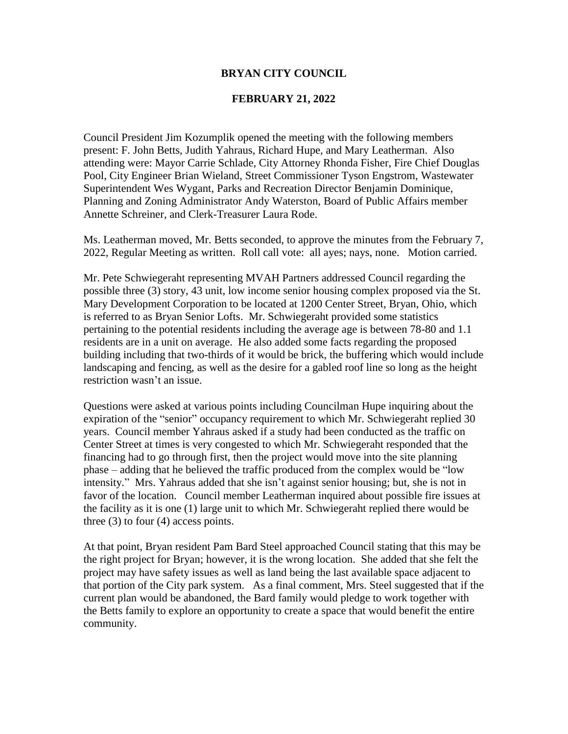#### **BRYAN CITY COUNCIL**

#### **FEBRUARY 21, 2022**

Council President Jim Kozumplik opened the meeting with the following members present: F. John Betts, Judith Yahraus, Richard Hupe, and Mary Leatherman. Also attending were: Mayor Carrie Schlade, City Attorney Rhonda Fisher, Fire Chief Douglas Pool, City Engineer Brian Wieland, Street Commissioner Tyson Engstrom, Wastewater Superintendent Wes Wygant, Parks and Recreation Director Benjamin Dominique, Planning and Zoning Administrator Andy Waterston, Board of Public Affairs member Annette Schreiner, and Clerk-Treasurer Laura Rode.

Ms. Leatherman moved, Mr. Betts seconded, to approve the minutes from the February 7, 2022, Regular Meeting as written. Roll call vote: all ayes; nays, none. Motion carried.

Mr. Pete Schwiegeraht representing MVAH Partners addressed Council regarding the possible three (3) story, 43 unit, low income senior housing complex proposed via the St. Mary Development Corporation to be located at 1200 Center Street, Bryan, Ohio, which is referred to as Bryan Senior Lofts. Mr. Schwiegeraht provided some statistics pertaining to the potential residents including the average age is between 78-80 and 1.1 residents are in a unit on average. He also added some facts regarding the proposed building including that two-thirds of it would be brick, the buffering which would include landscaping and fencing, as well as the desire for a gabled roof line so long as the height restriction wasn't an issue.

Questions were asked at various points including Councilman Hupe inquiring about the expiration of the "senior" occupancy requirement to which Mr. Schwiegeraht replied 30 years. Council member Yahraus asked if a study had been conducted as the traffic on Center Street at times is very congested to which Mr. Schwiegeraht responded that the financing had to go through first, then the project would move into the site planning phase – adding that he believed the traffic produced from the complex would be "low intensity." Mrs. Yahraus added that she isn't against senior housing; but, she is not in favor of the location. Council member Leatherman inquired about possible fire issues at the facility as it is one (1) large unit to which Mr. Schwiegeraht replied there would be three  $(3)$  to four  $(4)$  access points.

At that point, Bryan resident Pam Bard Steel approached Council stating that this may be the right project for Bryan; however, it is the wrong location. She added that she felt the project may have safety issues as well as land being the last available space adjacent to that portion of the City park system. As a final comment, Mrs. Steel suggested that if the current plan would be abandoned, the Bard family would pledge to work together with the Betts family to explore an opportunity to create a space that would benefit the entire community.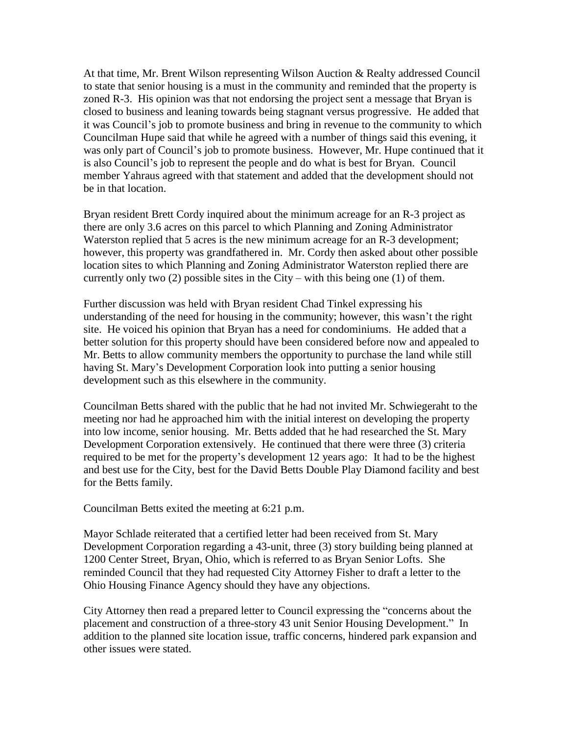At that time, Mr. Brent Wilson representing Wilson Auction & Realty addressed Council to state that senior housing is a must in the community and reminded that the property is zoned R-3. His opinion was that not endorsing the project sent a message that Bryan is closed to business and leaning towards being stagnant versus progressive. He added that it was Council's job to promote business and bring in revenue to the community to which Councilman Hupe said that while he agreed with a number of things said this evening, it was only part of Council's job to promote business. However, Mr. Hupe continued that it is also Council's job to represent the people and do what is best for Bryan. Council member Yahraus agreed with that statement and added that the development should not be in that location.

Bryan resident Brett Cordy inquired about the minimum acreage for an R-3 project as there are only 3.6 acres on this parcel to which Planning and Zoning Administrator Waterston replied that 5 acres is the new minimum acreage for an R-3 development; however, this property was grandfathered in. Mr. Cordy then asked about other possible location sites to which Planning and Zoning Administrator Waterston replied there are currently only two  $(2)$  possible sites in the City – with this being one  $(1)$  of them.

Further discussion was held with Bryan resident Chad Tinkel expressing his understanding of the need for housing in the community; however, this wasn't the right site. He voiced his opinion that Bryan has a need for condominiums. He added that a better solution for this property should have been considered before now and appealed to Mr. Betts to allow community members the opportunity to purchase the land while still having St. Mary's Development Corporation look into putting a senior housing development such as this elsewhere in the community.

Councilman Betts shared with the public that he had not invited Mr. Schwiegeraht to the meeting nor had he approached him with the initial interest on developing the property into low income, senior housing. Mr. Betts added that he had researched the St. Mary Development Corporation extensively. He continued that there were three (3) criteria required to be met for the property's development 12 years ago: It had to be the highest and best use for the City, best for the David Betts Double Play Diamond facility and best for the Betts family.

Councilman Betts exited the meeting at 6:21 p.m.

Mayor Schlade reiterated that a certified letter had been received from St. Mary Development Corporation regarding a 43-unit, three (3) story building being planned at 1200 Center Street, Bryan, Ohio, which is referred to as Bryan Senior Lofts. She reminded Council that they had requested City Attorney Fisher to draft a letter to the Ohio Housing Finance Agency should they have any objections.

City Attorney then read a prepared letter to Council expressing the "concerns about the placement and construction of a three-story 43 unit Senior Housing Development." In addition to the planned site location issue, traffic concerns, hindered park expansion and other issues were stated.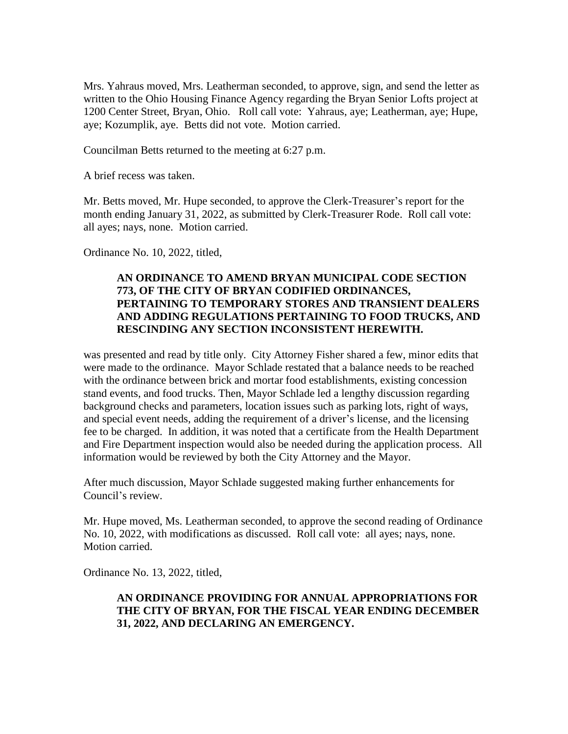Mrs. Yahraus moved, Mrs. Leatherman seconded, to approve, sign, and send the letter as written to the Ohio Housing Finance Agency regarding the Bryan Senior Lofts project at 1200 Center Street, Bryan, Ohio. Roll call vote: Yahraus, aye; Leatherman, aye; Hupe, aye; Kozumplik, aye. Betts did not vote. Motion carried.

Councilman Betts returned to the meeting at 6:27 p.m.

A brief recess was taken.

Mr. Betts moved, Mr. Hupe seconded, to approve the Clerk-Treasurer's report for the month ending January 31, 2022, as submitted by Clerk-Treasurer Rode. Roll call vote: all ayes; nays, none. Motion carried.

Ordinance No. 10, 2022, titled,

# **AN ORDINANCE TO AMEND BRYAN MUNICIPAL CODE SECTION 773, OF THE CITY OF BRYAN CODIFIED ORDINANCES, PERTAINING TO TEMPORARY STORES AND TRANSIENT DEALERS AND ADDING REGULATIONS PERTAINING TO FOOD TRUCKS, AND RESCINDING ANY SECTION INCONSISTENT HEREWITH.**

was presented and read by title only. City Attorney Fisher shared a few, minor edits that were made to the ordinance. Mayor Schlade restated that a balance needs to be reached with the ordinance between brick and mortar food establishments, existing concession stand events, and food trucks. Then, Mayor Schlade led a lengthy discussion regarding background checks and parameters, location issues such as parking lots, right of ways, and special event needs, adding the requirement of a driver's license, and the licensing fee to be charged. In addition, it was noted that a certificate from the Health Department and Fire Department inspection would also be needed during the application process. All information would be reviewed by both the City Attorney and the Mayor.

After much discussion, Mayor Schlade suggested making further enhancements for Council's review.

Mr. Hupe moved, Ms. Leatherman seconded, to approve the second reading of Ordinance No. 10, 2022, with modifications as discussed. Roll call vote: all ayes; nays, none. Motion carried.

Ordinance No. 13, 2022, titled,

## **AN ORDINANCE PROVIDING FOR ANNUAL APPROPRIATIONS FOR THE CITY OF BRYAN, FOR THE FISCAL YEAR ENDING DECEMBER 31, 2022, AND DECLARING AN EMERGENCY.**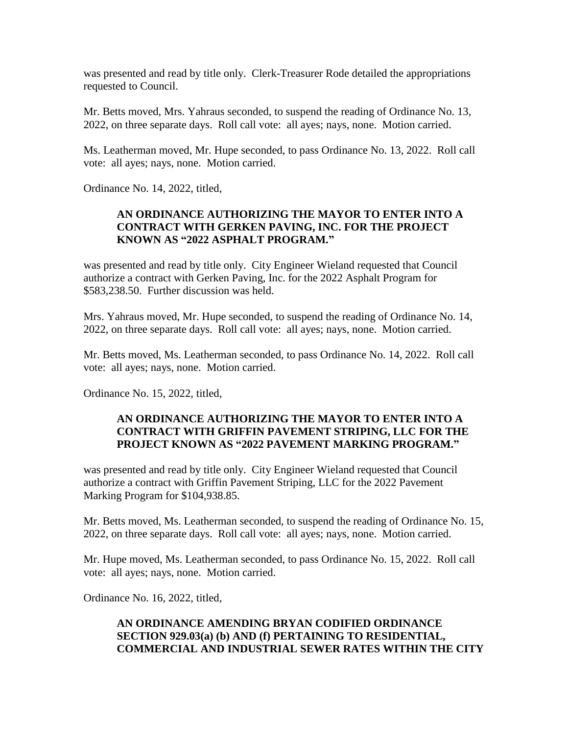was presented and read by title only. Clerk-Treasurer Rode detailed the appropriations requested to Council.

Mr. Betts moved, Mrs. Yahraus seconded, to suspend the reading of Ordinance No. 13, 2022, on three separate days. Roll call vote: all ayes; nays, none. Motion carried.

Ms. Leatherman moved, Mr. Hupe seconded, to pass Ordinance No. 13, 2022. Roll call vote: all ayes; nays, none. Motion carried.

Ordinance No. 14, 2022, titled,

# **AN ORDINANCE AUTHORIZING THE MAYOR TO ENTER INTO A CONTRACT WITH GERKEN PAVING, INC. FOR THE PROJECT KNOWN AS "2022 ASPHALT PROGRAM."**

was presented and read by title only. City Engineer Wieland requested that Council authorize a contract with Gerken Paving, Inc. for the 2022 Asphalt Program for \$583,238.50. Further discussion was held.

Mrs. Yahraus moved, Mr. Hupe seconded, to suspend the reading of Ordinance No. 14, 2022, on three separate days. Roll call vote: all ayes; nays, none. Motion carried.

Mr. Betts moved, Ms. Leatherman seconded, to pass Ordinance No. 14, 2022. Roll call vote: all ayes; nays, none. Motion carried.

Ordinance No. 15, 2022, titled,

## **AN ORDINANCE AUTHORIZING THE MAYOR TO ENTER INTO A CONTRACT WITH GRIFFIN PAVEMENT STRIPING, LLC FOR THE PROJECT KNOWN AS "2022 PAVEMENT MARKING PROGRAM."**

was presented and read by title only. City Engineer Wieland requested that Council authorize a contract with Griffin Pavement Striping, LLC for the 2022 Pavement Marking Program for \$104,938.85.

Mr. Betts moved, Ms. Leatherman seconded, to suspend the reading of Ordinance No. 15, 2022, on three separate days. Roll call vote: all ayes; nays, none. Motion carried.

Mr. Hupe moved, Ms. Leatherman seconded, to pass Ordinance No. 15, 2022. Roll call vote: all ayes; nays, none. Motion carried.

Ordinance No. 16, 2022, titled,

# **AN ORDINANCE AMENDING BRYAN CODIFIED ORDINANCE SECTION 929.03(a) (b) AND (f) PERTAINING TO RESIDENTIAL, COMMERCIAL AND INDUSTRIAL SEWER RATES WITHIN THE CITY**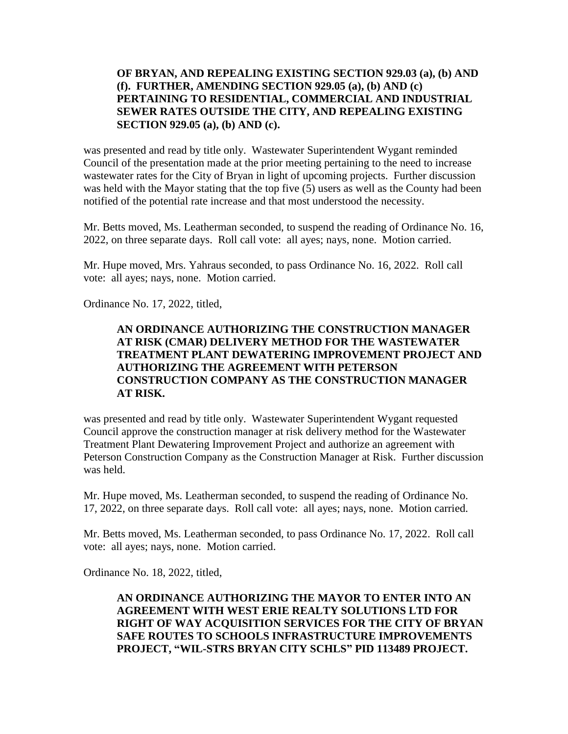## **OF BRYAN, AND REPEALING EXISTING SECTION 929.03 (a), (b) AND (f). FURTHER, AMENDING SECTION 929.05 (a), (b) AND (c) PERTAINING TO RESIDENTIAL, COMMERCIAL AND INDUSTRIAL SEWER RATES OUTSIDE THE CITY, AND REPEALING EXISTING SECTION 929.05 (a), (b) AND (c).**

was presented and read by title only. Wastewater Superintendent Wygant reminded Council of the presentation made at the prior meeting pertaining to the need to increase wastewater rates for the City of Bryan in light of upcoming projects. Further discussion was held with the Mayor stating that the top five (5) users as well as the County had been notified of the potential rate increase and that most understood the necessity.

Mr. Betts moved, Ms. Leatherman seconded, to suspend the reading of Ordinance No. 16, 2022, on three separate days. Roll call vote: all ayes; nays, none. Motion carried.

Mr. Hupe moved, Mrs. Yahraus seconded, to pass Ordinance No. 16, 2022. Roll call vote: all ayes; nays, none. Motion carried.

Ordinance No. 17, 2022, titled,

## **AN ORDINANCE AUTHORIZING THE CONSTRUCTION MANAGER AT RISK (CMAR) DELIVERY METHOD FOR THE WASTEWATER TREATMENT PLANT DEWATERING IMPROVEMENT PROJECT AND AUTHORIZING THE AGREEMENT WITH PETERSON CONSTRUCTION COMPANY AS THE CONSTRUCTION MANAGER AT RISK.**

was presented and read by title only. Wastewater Superintendent Wygant requested Council approve the construction manager at risk delivery method for the Wastewater Treatment Plant Dewatering Improvement Project and authorize an agreement with Peterson Construction Company as the Construction Manager at Risk. Further discussion was held.

Mr. Hupe moved, Ms. Leatherman seconded, to suspend the reading of Ordinance No. 17, 2022, on three separate days. Roll call vote: all ayes; nays, none. Motion carried.

Mr. Betts moved, Ms. Leatherman seconded, to pass Ordinance No. 17, 2022. Roll call vote: all ayes; nays, none. Motion carried.

Ordinance No. 18, 2022, titled,

# **AN ORDINANCE AUTHORIZING THE MAYOR TO ENTER INTO AN AGREEMENT WITH WEST ERIE REALTY SOLUTIONS LTD FOR RIGHT OF WAY ACQUISITION SERVICES FOR THE CITY OF BRYAN SAFE ROUTES TO SCHOOLS INFRASTRUCTURE IMPROVEMENTS PROJECT, "WIL-STRS BRYAN CITY SCHLS" PID 113489 PROJECT.**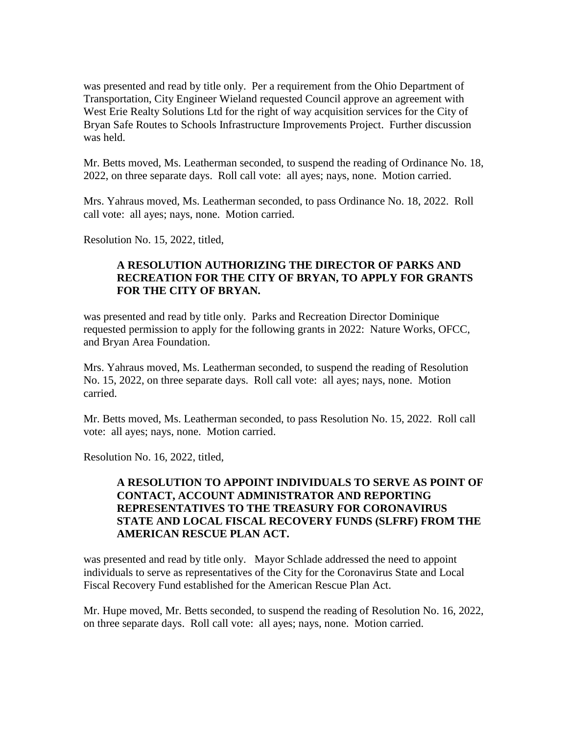was presented and read by title only. Per a requirement from the Ohio Department of Transportation, City Engineer Wieland requested Council approve an agreement with West Erie Realty Solutions Ltd for the right of way acquisition services for the City of Bryan Safe Routes to Schools Infrastructure Improvements Project. Further discussion was held.

Mr. Betts moved, Ms. Leatherman seconded, to suspend the reading of Ordinance No. 18, 2022, on three separate days. Roll call vote: all ayes; nays, none. Motion carried.

Mrs. Yahraus moved, Ms. Leatherman seconded, to pass Ordinance No. 18, 2022. Roll call vote: all ayes; nays, none. Motion carried.

Resolution No. 15, 2022, titled,

## **A RESOLUTION AUTHORIZING THE DIRECTOR OF PARKS AND RECREATION FOR THE CITY OF BRYAN, TO APPLY FOR GRANTS FOR THE CITY OF BRYAN.**

was presented and read by title only. Parks and Recreation Director Dominique requested permission to apply for the following grants in 2022: Nature Works, OFCC, and Bryan Area Foundation.

Mrs. Yahraus moved, Ms. Leatherman seconded, to suspend the reading of Resolution No. 15, 2022, on three separate days. Roll call vote: all ayes; nays, none. Motion carried.

Mr. Betts moved, Ms. Leatherman seconded, to pass Resolution No. 15, 2022. Roll call vote: all ayes; nays, none. Motion carried.

Resolution No. 16, 2022, titled,

#### **A RESOLUTION TO APPOINT INDIVIDUALS TO SERVE AS POINT OF CONTACT, ACCOUNT ADMINISTRATOR AND REPORTING REPRESENTATIVES TO THE TREASURY FOR CORONAVIRUS STATE AND LOCAL FISCAL RECOVERY FUNDS (SLFRF) FROM THE AMERICAN RESCUE PLAN ACT.**

was presented and read by title only. Mayor Schlade addressed the need to appoint individuals to serve as representatives of the City for the Coronavirus State and Local Fiscal Recovery Fund established for the American Rescue Plan Act.

Mr. Hupe moved, Mr. Betts seconded, to suspend the reading of Resolution No. 16, 2022, on three separate days. Roll call vote: all ayes; nays, none. Motion carried.